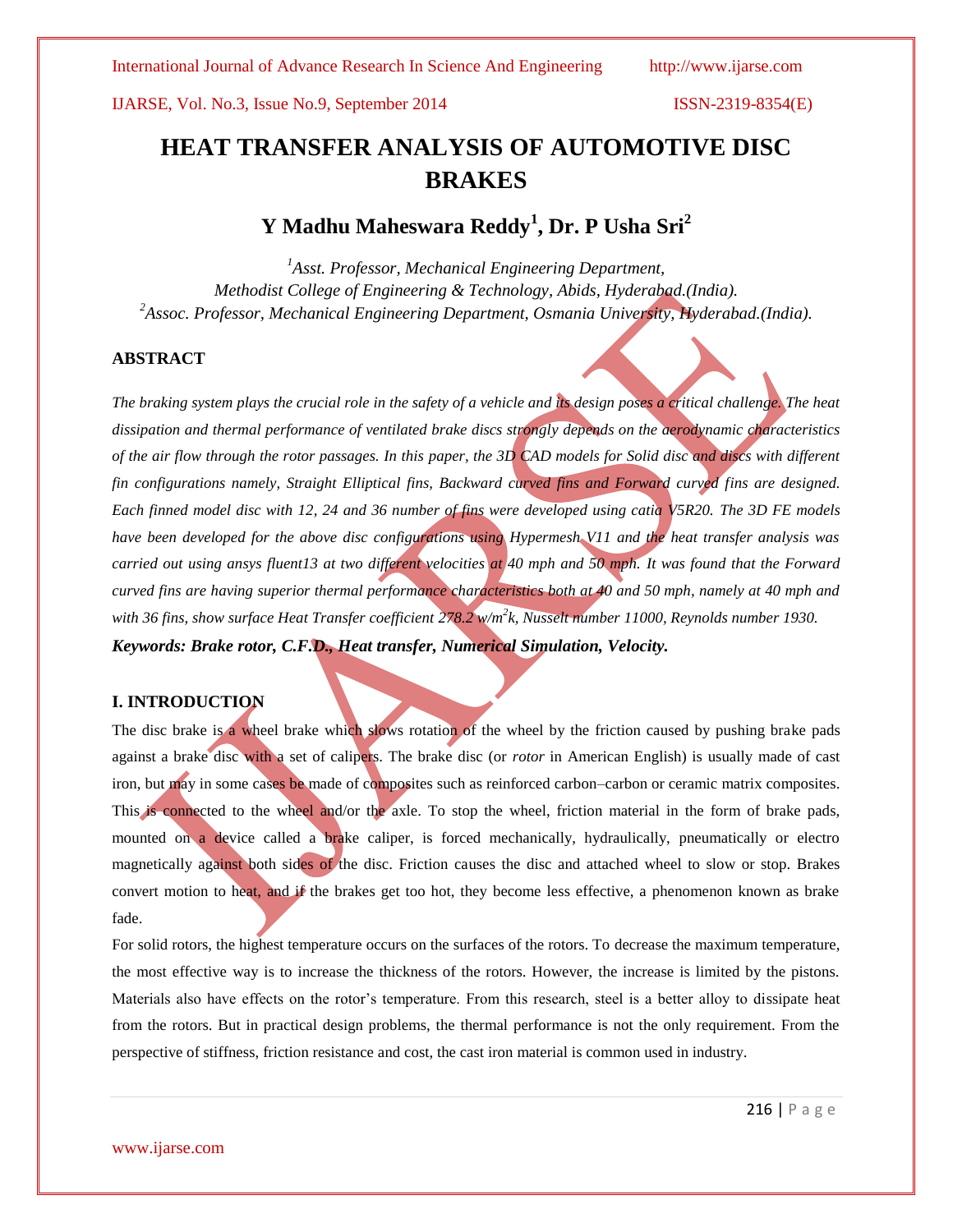# **HEAT TRANSFER ANALYSIS OF AUTOMOTIVE DISC BRAKES**

# **Y Madhu Maheswara Reddy<sup>1</sup> , Dr. P Usha Sri<sup>2</sup>**

*<sup>1</sup>Asst. Professor, Mechanical Engineering Department, Methodist College of Engineering & Technology, Abids, Hyderabad.(India). <sup>2</sup>Assoc. Professor, Mechanical Engineering Department, Osmania University, Hyderabad.(India).*

# **ABSTRACT**

*The braking system plays the crucial role in the safety of a vehicle and its design poses a critical challenge. The heat dissipation and thermal performance of ventilated brake discs strongly depends on the aerodynamic characteristics of the air flow through the rotor passages. In this paper, the 3D CAD models for Solid disc and discs with different fin configurations namely, Straight Elliptical fins, Backward curved fins and Forward curved fins are designed. Each finned model disc with 12, 24 and 36 number of fins were developed using catia V5R20. The 3D FE models have been developed for the above disc configurations using Hypermesh V11 and the heat transfer analysis was carried out using ansys fluent13 at two different velocities at 40 mph and 50 mph. It was found that the Forward curved fins are having superior thermal performance characteristics both at 40 and 50 mph, namely at 40 mph and with 36 fins, show surface Heat Transfer coefficient 278.2 w/m<sup>2</sup> k, Nusselt number 11000, Reynolds number 1930. Keywords: Brake rotor, C.F.D., Heat transfer, Numerical Simulation, Velocity.*

### **I. INTRODUCTION**

The disc brake is a wheel brake which slows rotation of the wheel by the friction caused by pushing brake pads against a brake disc with a set of calipers. The brake disc (or *rotor* in American English) is usually made of cast iron, but may in some cases be made of composites such as reinforced carbon–carbon or ceramic matrix composites. This is connected to the wheel and/or the axle. To stop the wheel, friction material in the form of brake pads, mounted on a device called a brake caliper, is forced mechanically, hydraulically, pneumatically or electro magnetically against both sides of the disc. Friction causes the disc and attached wheel to slow or stop. Brakes convert motion to heat, and if the brakes get too hot, they become less effective, a phenomenon known as brake fade.

For solid rotors, the highest temperature occurs on the surfaces of the rotors. To decrease the maximum temperature, the most effective way is to increase the thickness of the rotors. However, the increase is limited by the pistons. Materials also have effects on the rotor's temperature. From this research, steel is a better alloy to dissipate heat from the rotors. But in practical design problems, the thermal performance is not the only requirement. From the perspective of stiffness, friction resistance and cost, the cast iron material is common used in industry.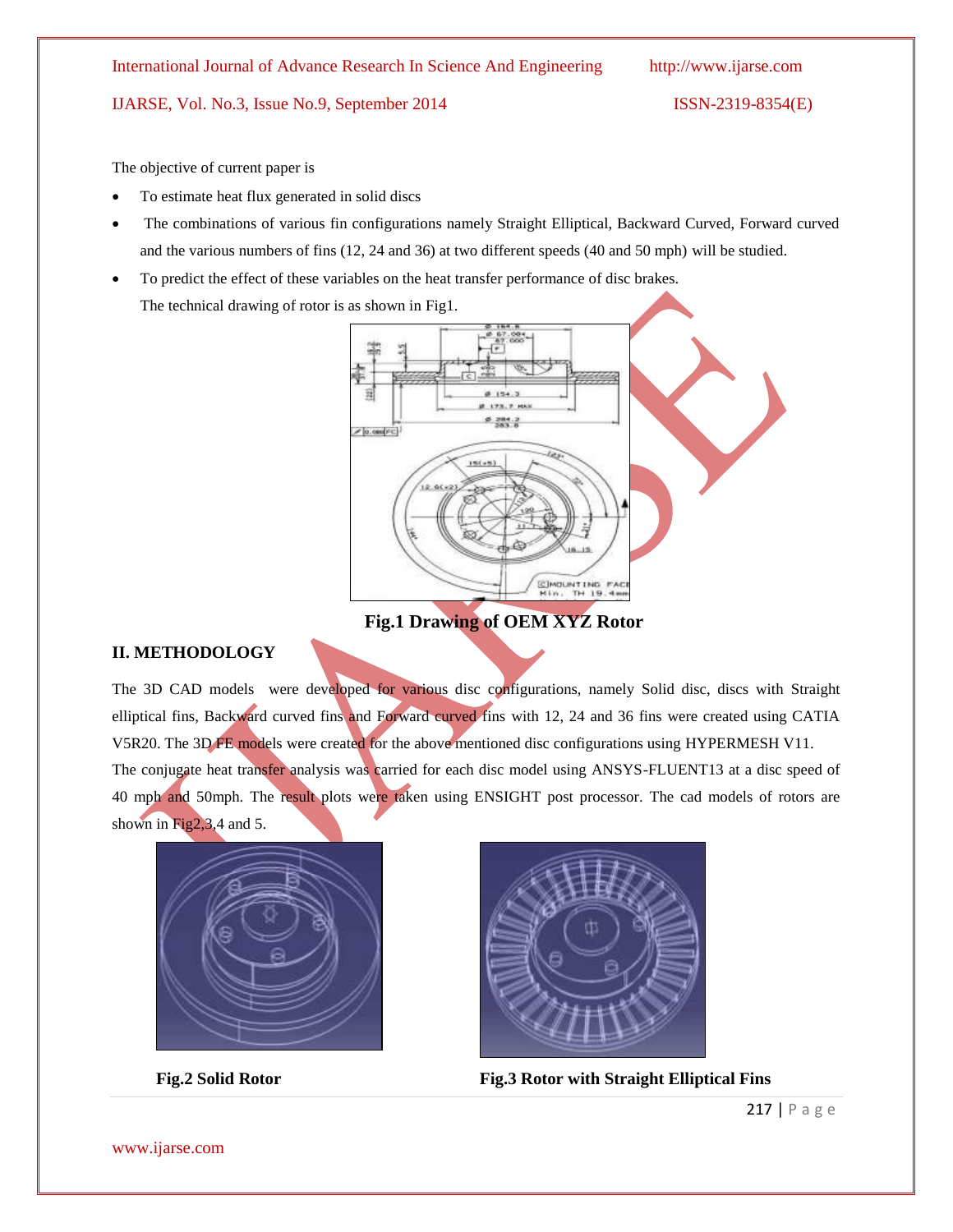The objective of current paper is

- To estimate heat flux generated in solid discs
- The combinations of various fin configurations namely Straight Elliptical, Backward Curved, Forward curved and the various numbers of fins (12, 24 and 36) at two different speeds (40 and 50 mph) will be studied.
- To predict the effect of these variables on the heat transfer performance of disc brakes. The technical drawing of rotor is as shown in Fig1.



**Fig.1 Drawing of OEM XYZ Rotor**

# **II. METHODOLOGY**

The 3D CAD models were developed for various disc configurations, namely Solid disc, discs with Straight elliptical fins, Backward curved fins and Forward curved fins with 12, 24 and 36 fins were created using CATIA V5R20. The 3D FE models were created for the above mentioned disc configurations using HYPERMESH V11. The conjugate heat transfer analysis was carried for each disc model using ANSYS-FLUENT13 at a disc speed of 40 mph and 50mph. The result plots were taken using ENSIGHT post processor. The cad models of rotors are shown in Fig2,3,4 and 5.





**Fig.2 Solid Rotor Fig.3 Rotor with Straight Elliptical Fins**

www.ijarse.com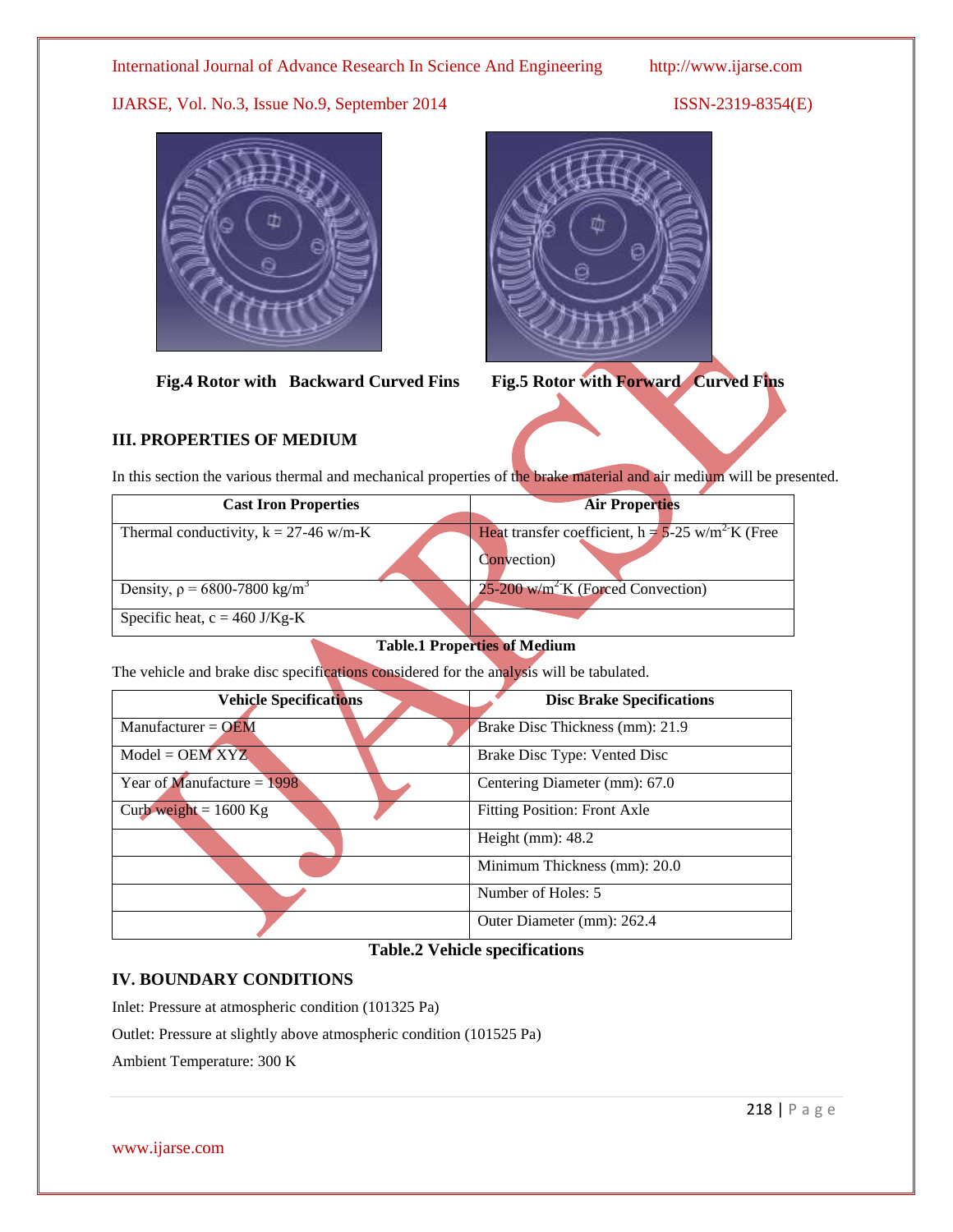



**Fig.4 Rotor with Backward Curved Fins Fig.5 Rotor with Forward Curved Fins**

# **III. PROPERTIES OF MEDIUM**

In this section the various thermal and mechanical properties of the brake material and air medium will be presented.

| <b>Cast Iron Properties</b>                  | <b>Air Properties</b>                                                         |
|----------------------------------------------|-------------------------------------------------------------------------------|
| Thermal conductivity, $k = 27-46$ w/m-K      | Heat transfer coefficient, $h = 5-25$ w/m <sup>2</sup> K (Free<br>Convection) |
| Density, $\rho = 6800 - 7800 \text{ kg/m}^3$ | $25-200$ w/m <sup>2-</sup> K (Forced Convection)                              |
| Specific heat, $c = 460$ J/Kg-K              |                                                                               |

# **Table.1 Properties of Medium**

The vehicle and brake disc specifications considered for the analysis will be tabulated.

| <b>Vehicle Specifications</b> | <b>Disc Brake Specifications</b>    |  |  |
|-------------------------------|-------------------------------------|--|--|
|                               |                                     |  |  |
| Manufacturer = $OEM$          | Brake Disc Thickness (mm): 21.9     |  |  |
| $Model = OEMXYZ$              | Brake Disc Type: Vented Disc        |  |  |
| Year of Manufacture = $1998$  | Centering Diameter (mm): 67.0       |  |  |
| Curb weight = $1600$ Kg       | <b>Fitting Position: Front Axle</b> |  |  |
|                               | Height $(mm)$ : 48.2                |  |  |
|                               | Minimum Thickness (mm): 20.0        |  |  |
|                               | Number of Holes: 5                  |  |  |
|                               | Outer Diameter (mm): 262.4          |  |  |

## **Table.2 Vehicle specifications**

# **IV. BOUNDARY CONDITIONS**

Inlet: Pressure at atmospheric condition (101325 Pa)

Outlet: Pressure at slightly above atmospheric condition (101525 Pa)

Ambient Temperature: 300 K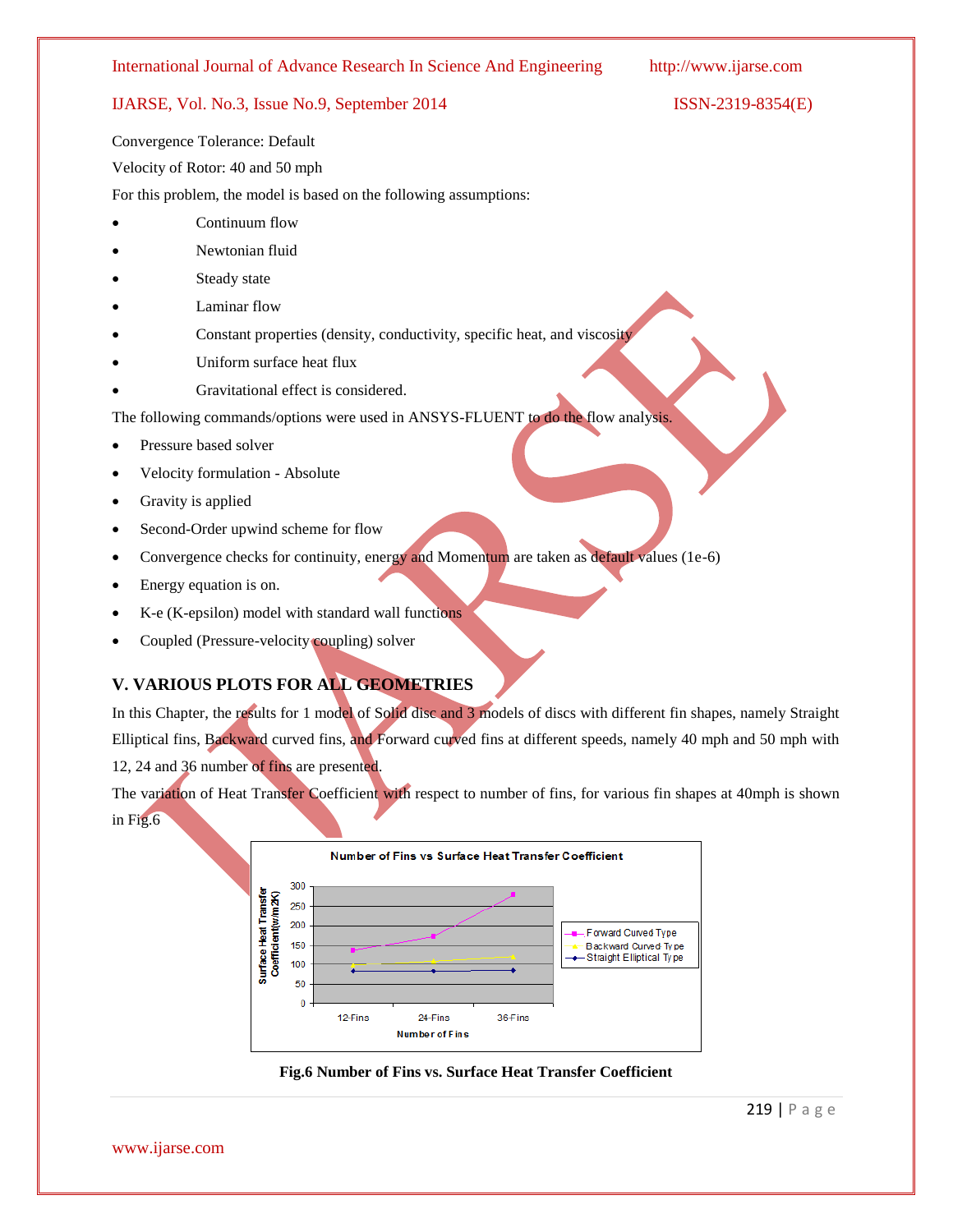## IJARSE, Vol. No.3, Issue No.9, September 2014 ISSN-2319-8354(E)

Convergence Tolerance: Default

Velocity of Rotor: 40 and 50 mph

For this problem, the model is based on the following assumptions:

- Continuum flow
- Newtonian fluid
- Steady state
- Laminar flow
- Constant properties (density, conductivity, specific heat, and viscosity
- Uniform surface heat flux
- Gravitational effect is considered.

The following commands/options were used in ANSYS-FLUENT to do the flow analysis.

- Pressure based solver
- Velocity formulation Absolute
- Gravity is applied
- Second-Order upwind scheme for flow
- Convergence checks for continuity, energy and Momentum are taken as default values (1e-6)
- Energy equation is on.
- K-e (K-epsilon) model with standard wall functions
- Coupled (Pressure-velocity coupling) solver

# **V. VARIOUS PLOTS FOR ALL GEOMETRIES**

In this Chapter, the results for 1 model of Solid disc and 3 models of discs with different fin shapes, namely Straight Elliptical fins, Backward curved fins, and Forward curved fins at different speeds, namely 40 mph and 50 mph with 12, 24 and 36 number of fins are presented.

The variation of Heat Transfer Coefficient with respect to number of fins, for various fin shapes at 40mph is shown in Fig.6



**Fig.6 Number of Fins vs. Surface Heat Transfer Coefficient**

www.ijarse.com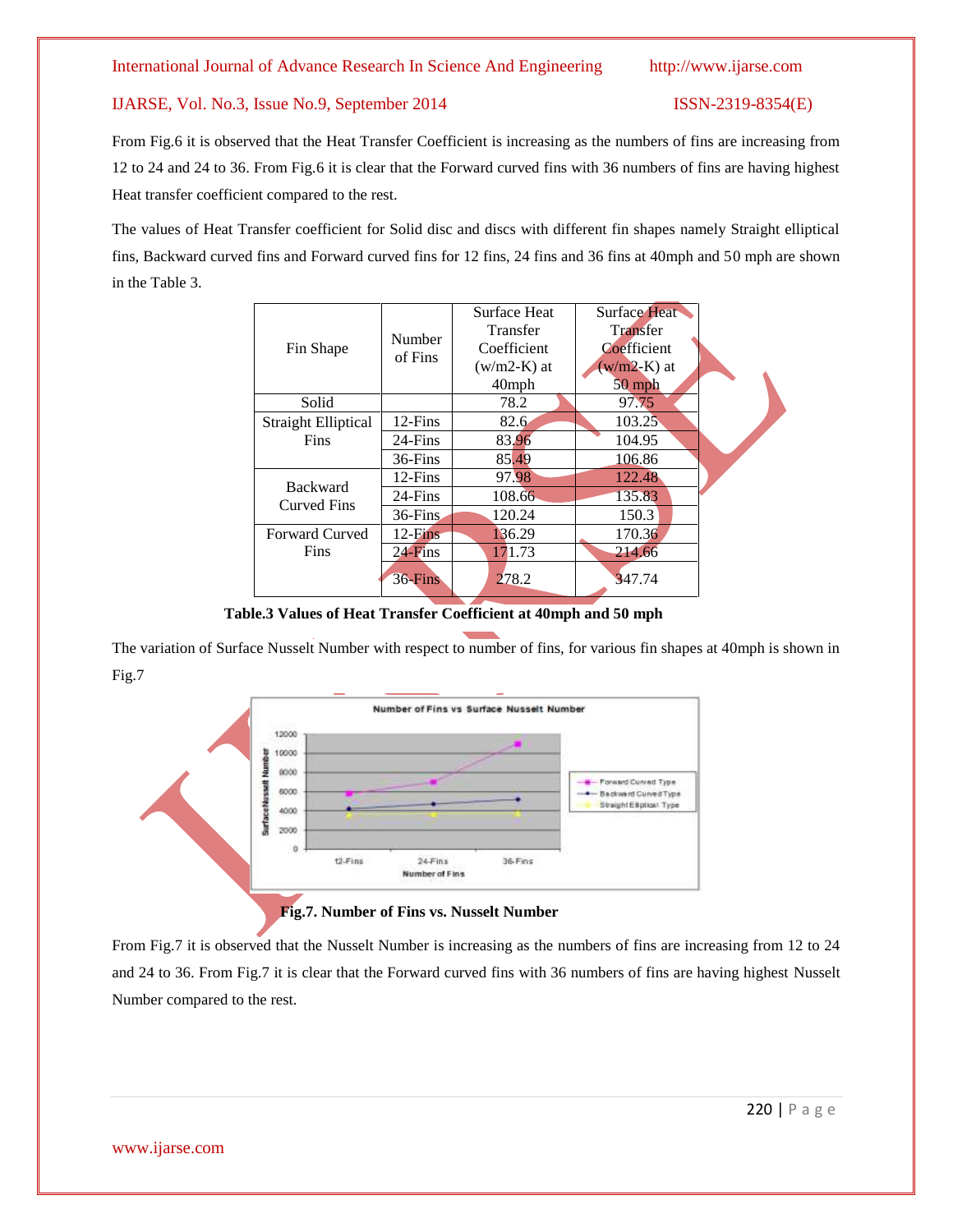From Fig.6 it is observed that the Heat Transfer Coefficient is increasing as the numbers of fins are increasing from 12 to 24 and 24 to 36. From Fig.6 it is clear that the Forward curved fins with 36 numbers of fins are having highest Heat transfer coefficient compared to the rest.

The values of Heat Transfer coefficient for Solid disc and discs with different fin shapes namely Straight elliptical fins, Backward curved fins and Forward curved fins for 12 fins, 24 fins and 36 fins at 40mph and 50 mph are shown in the Table 3.

|                            |                   | <b>Surface Heat</b> | <b>Surface Heat</b> |  |  |
|----------------------------|-------------------|---------------------|---------------------|--|--|
| Fin Shape                  | Number<br>of Fins | Transfer            | Transfer            |  |  |
|                            |                   | Coefficient         | Coefficient         |  |  |
|                            |                   | $(w/m2-K)$ at       | $(w/m2-K)$ at       |  |  |
|                            |                   | $40$ mph            | $50$ mph            |  |  |
| Solid                      |                   | 78.2                | 97.75               |  |  |
| <b>Straight Elliptical</b> | $12$ -Fins        | 82.6                | 103.25              |  |  |
| Fins                       | 24-Fins           | 83.96               | 104.95              |  |  |
|                            | 36-Fins           | 85.49               | 106.86              |  |  |
| <b>Backward</b>            | $12$ -Fins        | 97.98               | 122.48              |  |  |
| <b>Curved Fins</b>         | 24-Fins           | 108.66              | 135.83              |  |  |
|                            | $36$ -Fins        | 120.24              | 150.3               |  |  |
| <b>Forward Curved</b>      | $12$ -Fins        | 136.29              | 170.36              |  |  |
| Fins                       | $24$ -Fins        | 171.73              | 214.66              |  |  |
|                            | $36$ -Fins        | 278.2               | 347.74              |  |  |

**Table.3 Values of Heat Transfer Coefficient at 40mph and 50 mph**

The variation of Surface Nusselt Number with respect to number of fins, for various fin shapes at 40mph is shown in Fig.7



From Fig.7 it is observed that the Nusselt Number is increasing as the numbers of fins are increasing from 12 to 24 and 24 to 36. From Fig.7 it is clear that the Forward curved fins with 36 numbers of fins are having highest Nusselt Number compared to the rest.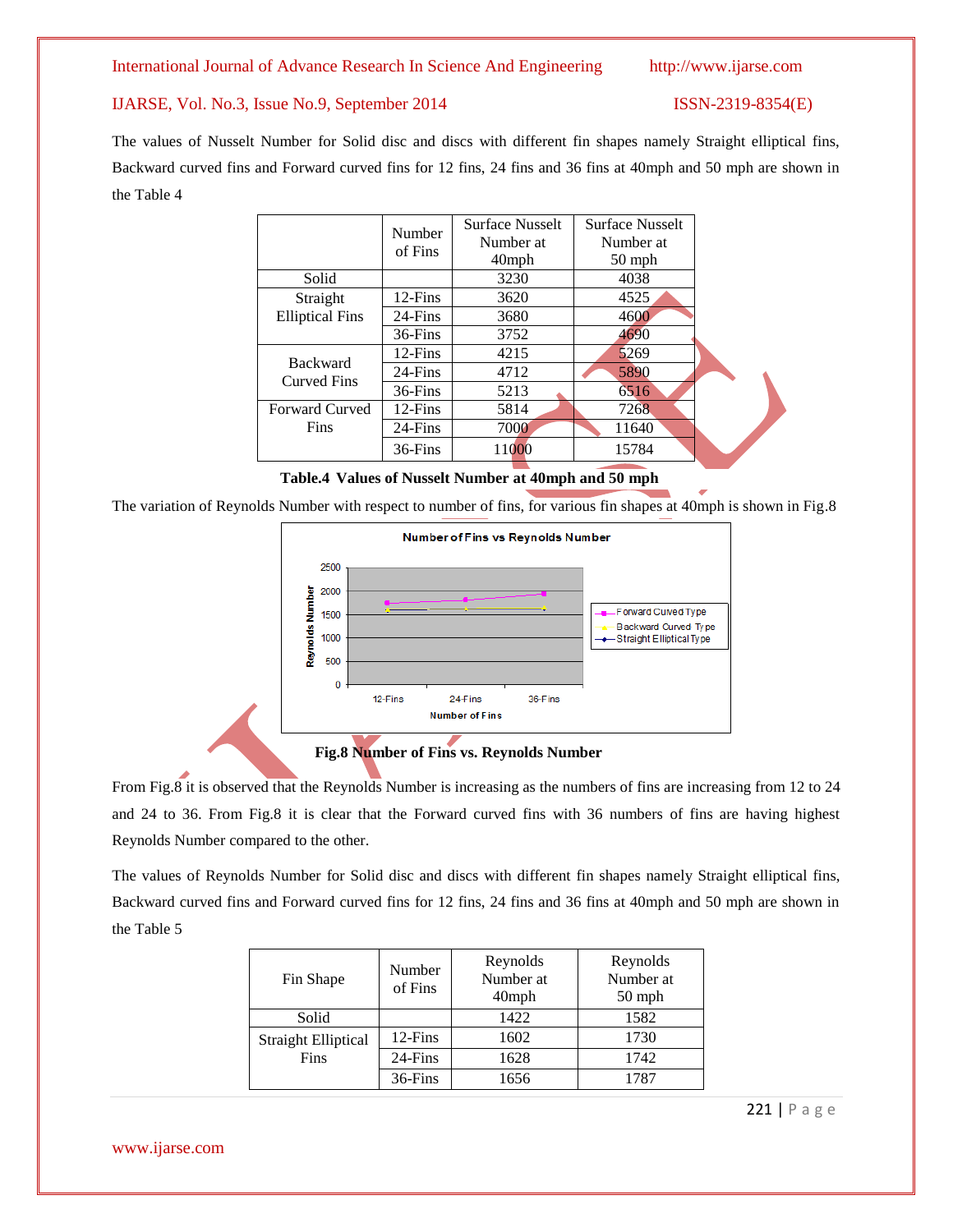### IJARSE, Vol. No.3, Issue No.9, September 2014 ISSN-2319-8354(E)

The values of Nusselt Number for Solid disc and discs with different fin shapes namely Straight elliptical fins, Backward curved fins and Forward curved fins for 12 fins, 24 fins and 36 fins at 40mph and 50 mph are shown in the Table 4

|                        | Number     | <b>Surface Nusselt</b> | <b>Surface Nusselt</b> |  |
|------------------------|------------|------------------------|------------------------|--|
|                        | of Fins    | Number at              | Number at              |  |
|                        |            | 40mph                  | $50$ mph               |  |
| Solid                  |            | 3230                   | 4038                   |  |
| Straight               | $12$ -Fins | 3620                   | 4525                   |  |
| <b>Elliptical Fins</b> | 24-Fins    | 3680                   | 4600                   |  |
|                        | 36-Fins    | 3752                   | 4690                   |  |
| <b>Backward</b>        | $12$ -Fins | 4215                   | 5269                   |  |
| <b>Curved Fins</b>     | 24-Fins    | 4712                   | 5890                   |  |
|                        | 36-Fins    | 5213                   | 6516                   |  |
| <b>Forward Curved</b>  | $12$ -Fins | 5814                   | 7268                   |  |
| <b>Fins</b>            | 24-Fins    | 7000                   | 11640                  |  |
|                        | 36-Fins    | 11000                  | 15784                  |  |

**Table.4 Values of Nusselt Number at 40mph and 50 mph**

The variation of Reynolds Number with respect to number of fins, for various fin shapes at 40mph is shown in Fig.8



**Fig.8 Number of Fins vs. Reynolds Number**

From Fig.8 it is observed that the Reynolds Number is increasing as the numbers of fins are increasing from 12 to 24 and 24 to 36. From Fig.8 it is clear that the Forward curved fins with 36 numbers of fins are having highest Reynolds Number compared to the other.

The values of Reynolds Number for Solid disc and discs with different fin shapes namely Straight elliptical fins, Backward curved fins and Forward curved fins for 12 fins, 24 fins and 36 fins at 40mph and 50 mph are shown in the Table 5

| Fin Shape                  | Number<br>of Fins | Reynolds<br>Number at<br>$40$ mph | Reynolds<br>Number at<br>$50$ mph |
|----------------------------|-------------------|-----------------------------------|-----------------------------------|
| Solid                      |                   | 1422                              | 1582                              |
| <b>Straight Elliptical</b> | 12-Fins           | 1602                              | 1730                              |
| Fins                       | 24-Fins           | 1628                              | 1742                              |
|                            | 36-Fins           | 1656                              | 1787                              |

www.ijarse.com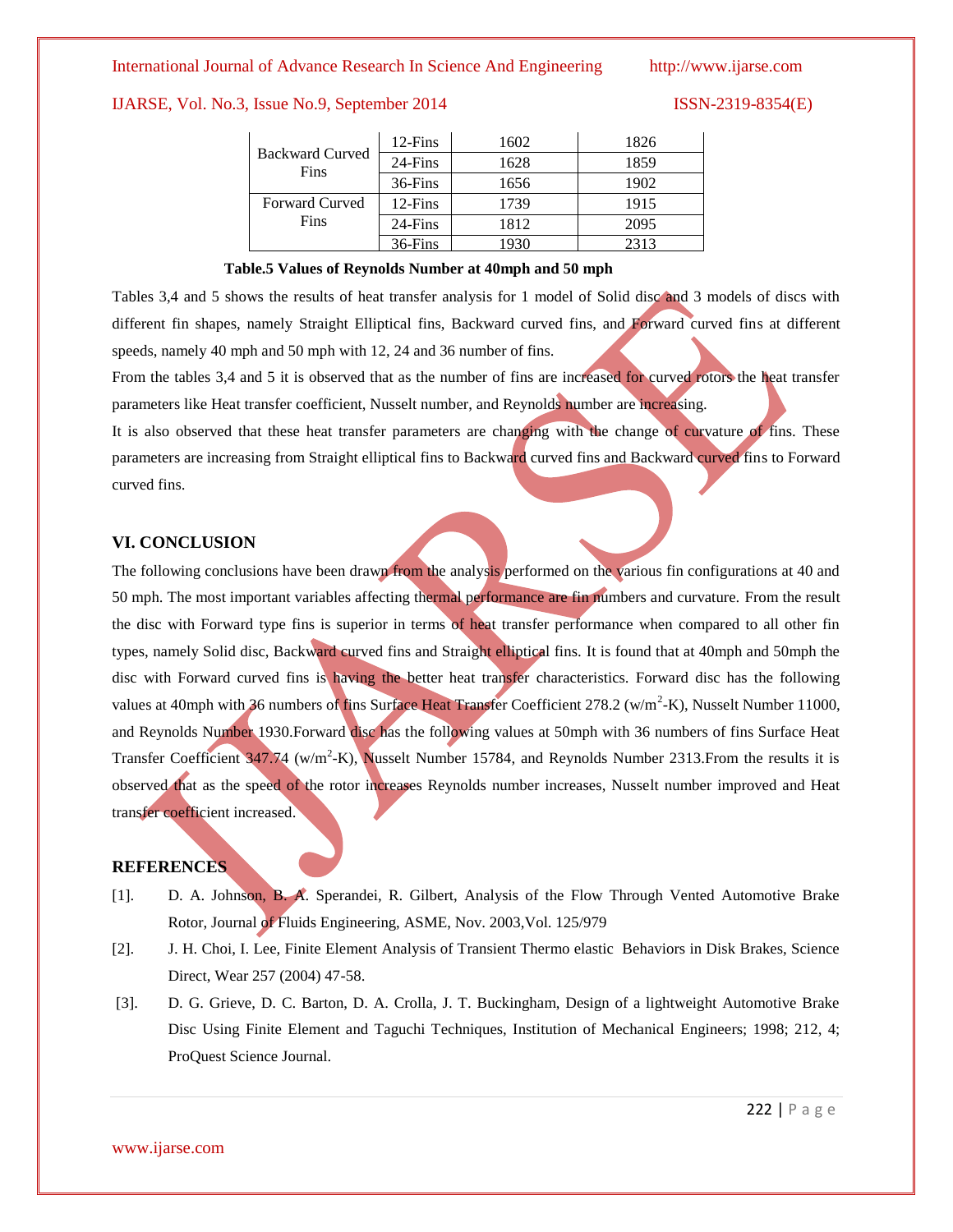## IJARSE, Vol. No.3, Issue No.9, September 2014 ISSN-2319-8354(E)

| <b>Backward Curved</b><br>Fins | $12$ -Fins | 1602 | 1826 |
|--------------------------------|------------|------|------|
|                                | 24-Fins    | 1628 | 1859 |
|                                | 36-Fins    | 1656 | 1902 |
| <b>Forward Curved</b>          | $12$ -Fins | 1739 | 1915 |
| Fins                           | 24-Fins    | 1812 | 2095 |
|                                | 36-Fins    |      | 2313 |

### **Table.5 Values of Reynolds Number at 40mph and 50 mph**

Tables 3,4 and 5 shows the results of heat transfer analysis for 1 model of Solid disc and 3 models of discs with different fin shapes, namely Straight Elliptical fins, Backward curved fins, and Forward curved fins at different speeds, namely 40 mph and 50 mph with 12, 24 and 36 number of fins.

From the tables 3,4 and 5 it is observed that as the number of fins are increased for curved rotors the heat transfer parameters like Heat transfer coefficient, Nusselt number, and Reynolds number are increasing.

It is also observed that these heat transfer parameters are changing with the change of curvature of fins. These parameters are increasing from Straight elliptical fins to Backward curved fins and Backward curved fins to Forward curved fins.

### **VI. CONCLUSION**

The following conclusions have been drawn from the analysis performed on the various fin configurations at 40 and 50 mph. The most important variables affecting thermal performance are fin numbers and curvature. From the result the disc with Forward type fins is superior in terms of heat transfer performance when compared to all other fin types, namely Solid disc, Backward curved fins and Straight elliptical fins. It is found that at 40mph and 50mph the disc with Forward curved fins is having the better heat transfer characteristics. Forward disc has the following values at 40mph with 36 numbers of fins Surface Heat Transfer Coefficient 278.2 (w/m<sup>2</sup>-K), Nusselt Number 11000, and Reynolds Number 1930.Forward disc has the following values at 50mph with 36 numbers of fins Surface Heat Transfer Coefficient 347.74 (w/m<sup>2</sup>-K), Nusselt Number 15784, and Reynolds Number 2313. From the results it is observed that as the speed of the rotor increases Reynolds number increases, Nusselt number improved and Heat transfer coefficient increased.

### **REFERENCES**

- [1]. D. A. Johnson, B. A. Sperandei, R. Gilbert, Analysis of the Flow Through Vented Automotive Brake Rotor, Journal of Fluids Engineering, ASME, Nov. 2003,Vol. 125/979
- [2]. J. H. Choi, I. Lee, Finite Element Analysis of Transient Thermo elastic Behaviors in Disk Brakes, Science Direct, Wear 257 (2004) 47-58.
- [3]. D. G. Grieve, D. C. Barton, D. A. Crolla, J. T. Buckingham, Design of a lightweight Automotive Brake Disc Using Finite Element and Taguchi Techniques, Institution of Mechanical Engineers; 1998; 212, 4; ProQuest Science Journal.